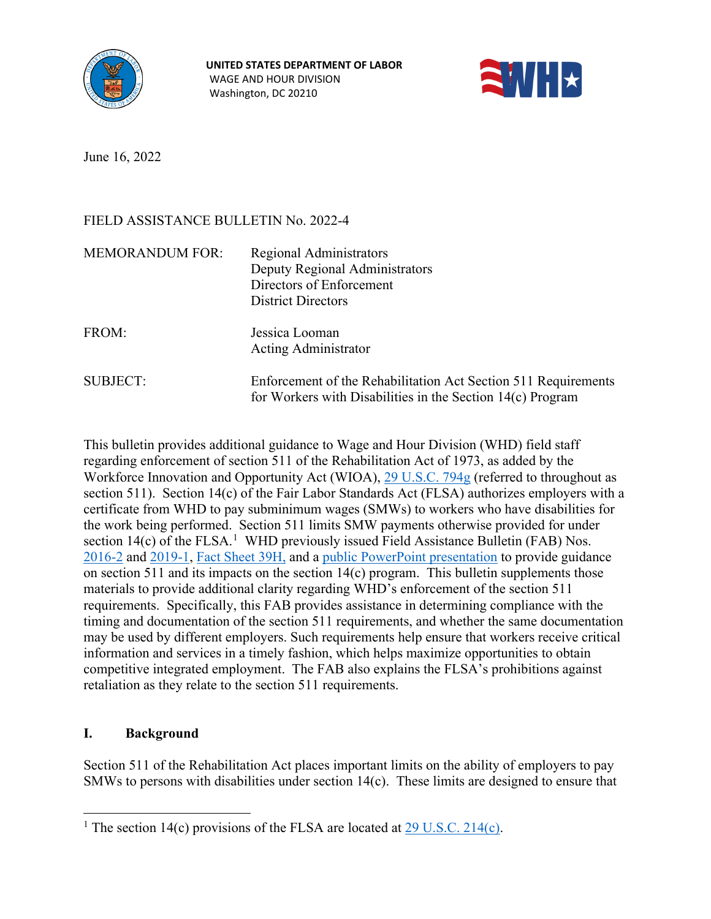



June 16, 2022

# FIELD ASSISTANCE BULLETIN No. 2022-4

| <b>MEMORANDUM FOR:</b> | <b>Regional Administrators</b><br>Deputy Regional Administrators<br>Directors of Enforcement<br><b>District Directors</b>    |
|------------------------|------------------------------------------------------------------------------------------------------------------------------|
| FROM:                  | Jessica Looman<br><b>Acting Administrator</b>                                                                                |
| SUBJECT:               | Enforcement of the Rehabilitation Act Section 511 Requirements<br>for Workers with Disabilities in the Section 14(c) Program |

This bulletin provides additional guidance to Wage and Hour Division (WHD) field staff regarding enforcement of section 511 of the Rehabilitation Act of 1973, as added by the Workforce Innovation and Opportunity Act (WIOA), [29 U.S.C. 794g](https://www.govinfo.gov/content/pkg/USCODE-2015-title29/html/USCODE-2015-title29-chap16-subchapV-sec794g.htm) (referred to throughout as section 511). Section 14(c) of the Fair Labor Standards Act (FLSA) authorizes employers with a certificate from WHD to pay subminimum wages (SMWs) to workers who have disabilities for the work being performed. Section 511 limits SMW payments otherwise provided for under section  $14(c)$  $14(c)$  of the FLSA.<sup>1</sup> WHD previously issued Field Assistance Bulletin (FAB) Nos. [2016-2](https://www.dol.gov/sites/dolgov/files/WHD/legacy/files/fab2016_2.pdf) and [2019-1,](https://www.dol.gov/sites/dolgov/files/WHD/legacy/files/fab2019_1.pdf) [Fact Sheet 39H,](https://www.dol.gov/whd/regs/compliance/whdfs39h.pdf) and a [public PowerPoint presentation](https://www.dol.gov/whd/workerswithdisabilities/employers.htm) to provide guidance on section 511 and its impacts on the section 14(c) program. This bulletin supplements those materials to provide additional clarity regarding WHD's enforcement of the section 511 requirements. Specifically, this FAB provides assistance in determining compliance with the timing and documentation of the section 511 requirements, and whether the same documentation may be used by different employers. Such requirements help ensure that workers receive critical information and services in a timely fashion, which helps maximize opportunities to obtain competitive integrated employment. The FAB also explains the FLSA's prohibitions against retaliation as they relate to the section 511 requirements.

## **I. Background**

Section 511 of the Rehabilitation Act places important limits on the ability of employers to pay SMWs to persons with disabilities under section 14(c). These limits are designed to ensure that

<span id="page-0-0"></span><sup>&</sup>lt;sup>1</sup> The section 14(c) provisions of the FLSA are located at  $29$  U.S.C. 214(c).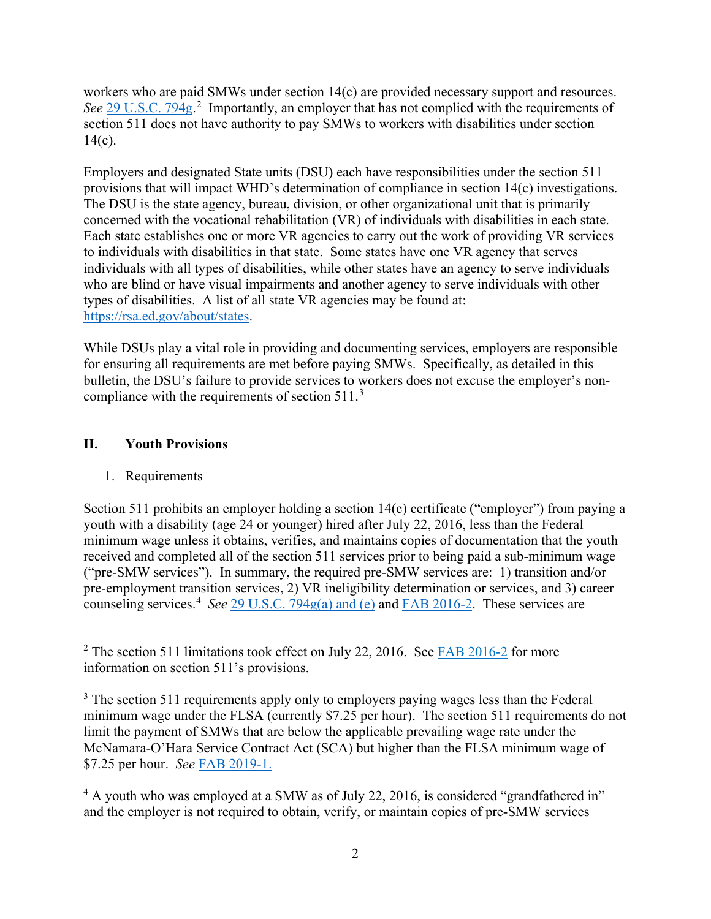workers who are paid SMWs under section 14(c) are provided necessary support and resources. See [29 U.S.C. 794g.](https://www.govinfo.gov/content/pkg/USCODE-2015-title29/html/USCODE-2015-title29-chap16-subchapV-sec794g.htm)<sup>[2](#page-1-0)</sup> Importantly, an employer that has not complied with the requirements of section 511 does not have authority to pay SMWs to workers with disabilities under section  $14(c)$ .

Employers and designated State units (DSU) each have responsibilities under the section 511 provisions that will impact WHD's determination of compliance in section 14(c) investigations. The DSU is the state agency, bureau, division, or other organizational unit that is primarily concerned with the vocational rehabilitation (VR) of individuals with disabilities in each state. Each state establishes one or more VR agencies to carry out the work of providing VR services to individuals with disabilities in that state. Some states have one VR agency that serves individuals with all types of disabilities, while other states have an agency to serve individuals who are blind or have visual impairments and another agency to serve individuals with other types of disabilities. A list of all state VR agencies may be found at: [https://rsa.ed.gov/about/states.](https://rsa.ed.gov/about/states)

While DSUs play a vital role in providing and documenting services, employers are responsible for ensuring all requirements are met before paying SMWs. Specifically, as detailed in this bulletin, the DSU's failure to provide services to workers does not excuse the employer's noncompliance with the requirements of section  $511.^3$  $511.^3$ 

## **II. Youth Provisions**

## 1. Requirements

Section 511 prohibits an employer holding a section 14(c) certificate ("employer") from paying a youth with a disability (age 24 or younger) hired after July 22, 2016, less than the Federal minimum wage unless it obtains, verifies, and maintains copies of documentation that the youth received and completed all of the section 511 services prior to being paid a sub-minimum wage ("pre-SMW services"). In summary, the required pre-SMW services are: 1) transition and/or pre-employment transition services, 2) VR ineligibility determination or services, and 3) career counseling services.<sup>[4](#page-1-2)</sup> See [29 U.S.C. 794g\(a\) and \(e\)](https://www.govinfo.gov/content/pkg/USCODE-2015-title29/html/USCODE-2015-title29-chap16-subchapV-sec794g.htm) and [FAB 2016-2.](https://www.dol.gov/sites/dolgov/files/WHD/legacy/files/fab2016_2.pdf) These services are

<span id="page-1-0"></span> $2$  The section 511 limitations took effect on July 22, 2016. See [FAB 2016-2](https://www.dol.gov/sites/dolgov/files/WHD/legacy/files/fab2016_2.pdf) for more information on section 511's provisions.

<span id="page-1-1"></span><sup>&</sup>lt;sup>3</sup> The section 511 requirements apply only to employers paying wages less than the Federal minimum wage under the FLSA (currently \$7.25 per hour). The section 511 requirements do not limit the payment of SMWs that are below the applicable prevailing wage rate under the McNamara-O'Hara Service Contract Act (SCA) but higher than the FLSA minimum wage of \$7.25 per hour. *See* [FAB 2019-1.](https://www.dol.gov/sites/dolgov/files/WHD/legacy/files/fab2019_1.pdf)

<span id="page-1-2"></span><sup>&</sup>lt;sup>4</sup> A youth who was employed at a SMW as of July 22, 2016, is considered "grandfathered in" and the employer is not required to obtain, verify, or maintain copies of pre-SMW services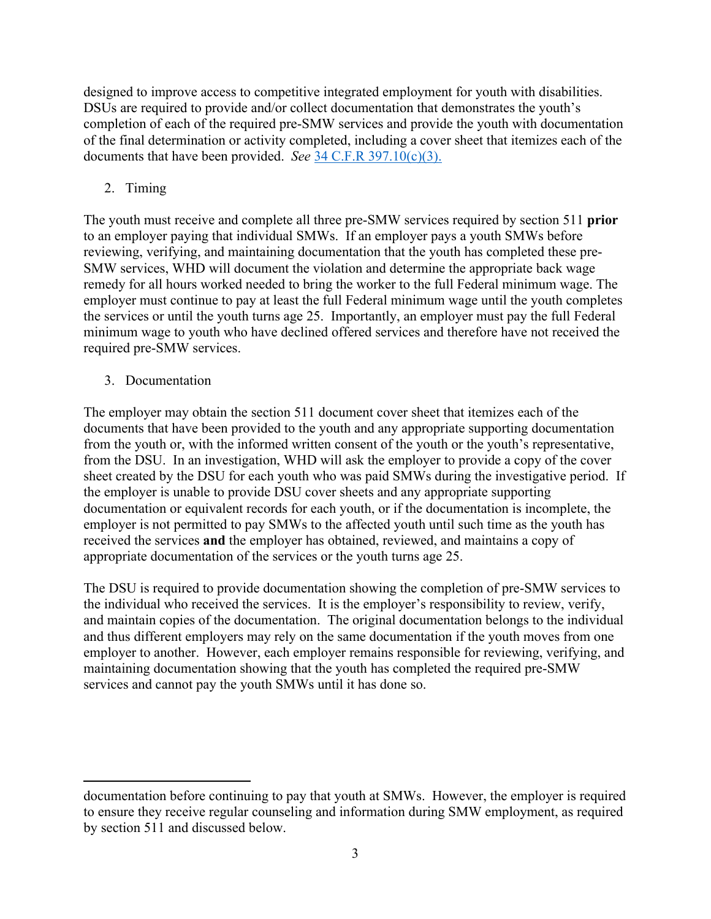designed to improve access to competitive integrated employment for youth with disabilities. DSUs are required to provide and/or collect documentation that demonstrates the youth's completion of each of the required pre-SMW services and provide the youth with documentation of the final determination or activity completed, including a cover sheet that itemizes each of the documents that have been provided. *See* [34 C.F.R 397.10\(c\)\(3\).](https://www.ecfr.gov/current/title-34/subtitle-B/chapter-III/part-397#p-397.10(c)(3))

# 2. Timing

The youth must receive and complete all three pre-SMW services required by section 511 **prior** to an employer paying that individual SMWs. If an employer pays a youth SMWs before reviewing, verifying, and maintaining documentation that the youth has completed these pre-SMW services, WHD will document the violation and determine the appropriate back wage remedy for all hours worked needed to bring the worker to the full Federal minimum wage. The employer must continue to pay at least the full Federal minimum wage until the youth completes the services or until the youth turns age 25. Importantly, an employer must pay the full Federal minimum wage to youth who have declined offered services and therefore have not received the required pre-SMW services.

## 3. Documentation

The employer may obtain the section 511 document cover sheet that itemizes each of the documents that have been provided to the youth and any appropriate supporting documentation from the youth or, with the informed written consent of the youth or the youth's representative, from the DSU. In an investigation, WHD will ask the employer to provide a copy of the cover sheet created by the DSU for each youth who was paid SMWs during the investigative period. If the employer is unable to provide DSU cover sheets and any appropriate supporting documentation or equivalent records for each youth, or if the documentation is incomplete, the employer is not permitted to pay SMWs to the affected youth until such time as the youth has received the services **and** the employer has obtained, reviewed, and maintains a copy of appropriate documentation of the services or the youth turns age 25.

The DSU is required to provide documentation showing the completion of pre-SMW services to the individual who received the services. It is the employer's responsibility to review, verify, and maintain copies of the documentation. The original documentation belongs to the individual and thus different employers may rely on the same documentation if the youth moves from one employer to another. However, each employer remains responsible for reviewing, verifying, and maintaining documentation showing that the youth has completed the required pre-SMW services and cannot pay the youth SMWs until it has done so.

documentation before continuing to pay that youth at SMWs. However, the employer is required to ensure they receive regular counseling and information during SMW employment, as required by section 511 and discussed below.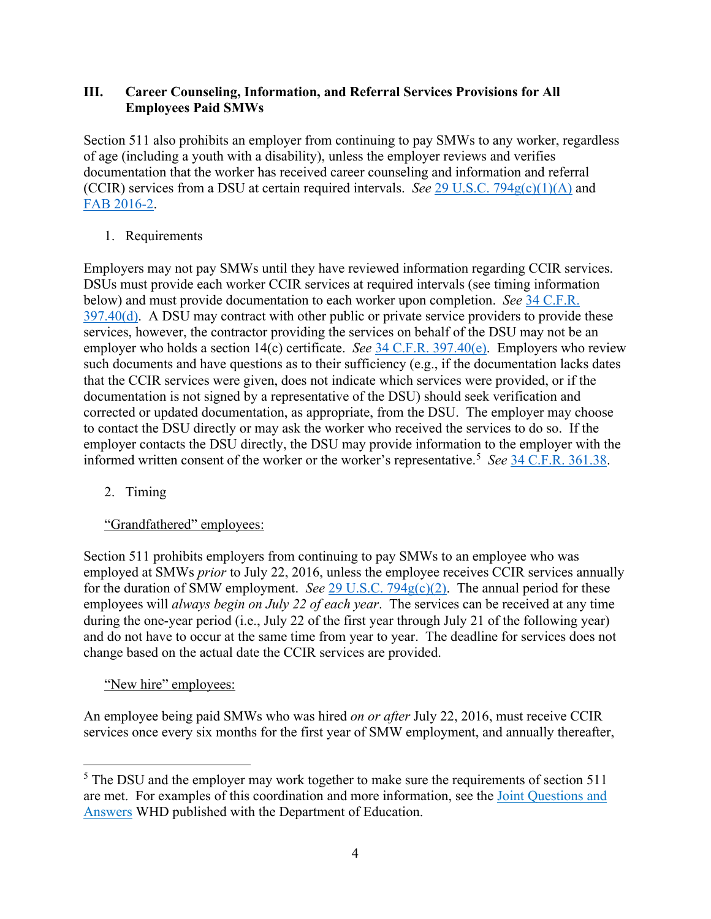## **III. Career Counseling, Information, and Referral Services Provisions for All Employees Paid SMWs**

Section 511 also prohibits an employer from continuing to pay SMWs to any worker, regardless of age (including a youth with a disability), unless the employer reviews and verifies documentation that the worker has received career counseling and information and referral (CCIR) services from a DSU at certain required intervals. *See* [29 U.S.C. 794g\(c\)\(1\)\(A\)](https://www.govinfo.gov/content/pkg/USCODE-2015-title29/html/USCODE-2015-title29-chap16-subchapV-sec794g.htm) and [FAB 2016-2.](https://www.dol.gov/sites/dolgov/files/WHD/legacy/files/fab2016_2.pdf)

### 1. Requirements

Employers may not pay SMWs until they have reviewed information regarding CCIR services. DSUs must provide each worker CCIR services at required intervals (see timing information below) and must provide documentation to each worker upon completion. *See* [34 C.F.R.](https://www.ecfr.gov/current/title-34/subtitle-B/chapter-III/part-397#p-397.40(d))   $397.40(d)$ . A DSU may contract with other public or private service providers to provide these services, however, the contractor providing the services on behalf of the DSU may not be an employer who holds a section 14(c) certificate. *See* [34 C.F.R. 397.40\(e\).](https://www.ecfr.gov/current/title-34/subtitle-B/chapter-III/part-397#p-397.40(e)) Employers who review such documents and have questions as to their sufficiency (e.g., if the documentation lacks dates that the CCIR services were given, does not indicate which services were provided, or if the documentation is not signed by a representative of the DSU) should seek verification and corrected or updated documentation, as appropriate, from the DSU. The employer may choose to contact the DSU directly or may ask the worker who received the services to do so. If the employer contacts the DSU directly, the DSU may provide information to the employer with the informed written consent of the worker or the worker's representative.[5](#page-3-0) *See* [34 C.F.R. 361.38.](https://www.ecfr.gov/current/title-34/section-361.38)

2. Timing

## "Grandfathered" employees:

Section 511 prohibits employers from continuing to pay SMWs to an employee who was employed at SMWs *prior* to July 22, 2016, unless the employee receives CCIR services annually for the duration of SMW employment. *See* 29 U.S.C.  $794g(c)(2)$ . The annual period for these employees will *always begin on July 22 of each year*. The services can be received at any time during the one-year period (i.e., July 22 of the first year through July 21 of the following year) and do not have to occur at the same time from year to year. The deadline for services does not change based on the actual date the CCIR services are provided.

## "New hire" employees:

An employee being paid SMWs who was hired *on or after* July 22, 2016, must receive CCIR services once every six months for the first year of SMW employment, and annually thereafter,

<span id="page-3-0"></span><sup>&</sup>lt;sup>5</sup> The DSU and the employer may work together to make sure the requirements of section 511 are met. For examples of this coordination and more information, see the [Joint Questions and](https://www.dol.gov/agencies/whd/workers-with-disabilities/questions-and-answers)  [Answers](https://www.dol.gov/agencies/whd/workers-with-disabilities/questions-and-answers) WHD published with the Department of Education.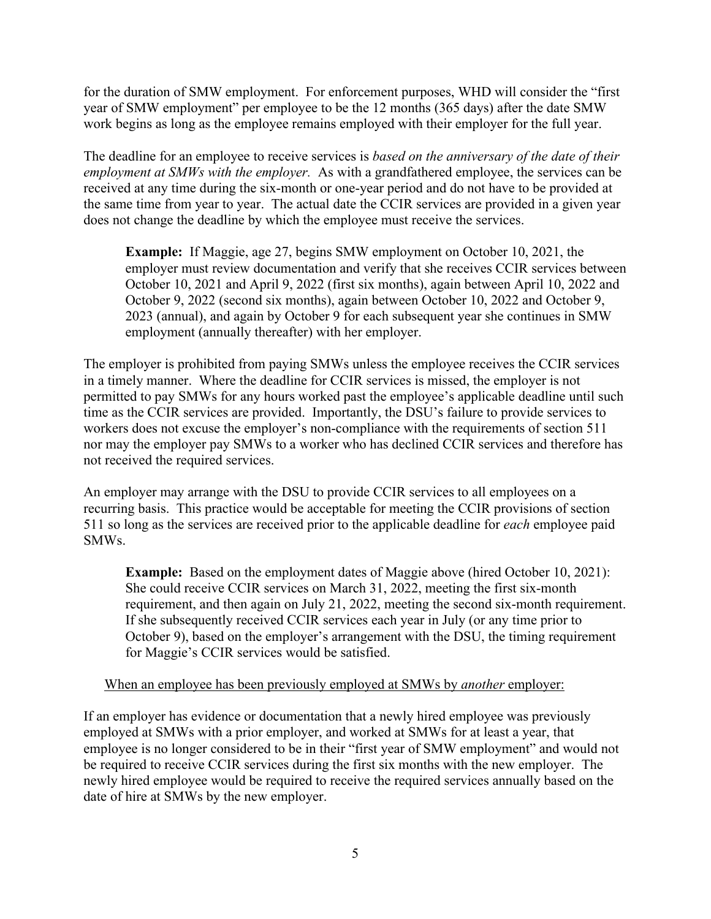for the duration of SMW employment. For enforcement purposes, WHD will consider the "first year of SMW employment" per employee to be the 12 months (365 days) after the date SMW work begins as long as the employee remains employed with their employer for the full year.

The deadline for an employee to receive services is *based on the anniversary of the date of their employment at SMWs with the employer.*As with a grandfathered employee, the services can be received at any time during the six-month or one-year period and do not have to be provided at the same time from year to year. The actual date the CCIR services are provided in a given year does not change the deadline by which the employee must receive the services.

**Example:** If Maggie, age 27, begins SMW employment on October 10, 2021, the employer must review documentation and verify that she receives CCIR services between October 10, 2021 and April 9, 2022 (first six months), again between April 10, 2022 and October 9, 2022 (second six months), again between October 10, 2022 and October 9, 2023 (annual), and again by October 9 for each subsequent year she continues in SMW employment (annually thereafter) with her employer.

The employer is prohibited from paying SMWs unless the employee receives the CCIR services in a timely manner. Where the deadline for CCIR services is missed, the employer is not permitted to pay SMWs for any hours worked past the employee's applicable deadline until such time as the CCIR services are provided. Importantly, the DSU's failure to provide services to workers does not excuse the employer's non-compliance with the requirements of section 511 nor may the employer pay SMWs to a worker who has declined CCIR services and therefore has not received the required services.

An employer may arrange with the DSU to provide CCIR services to all employees on a recurring basis. This practice would be acceptable for meeting the CCIR provisions of section 511 so long as the services are received prior to the applicable deadline for *each* employee paid SMWs.

**Example:** Based on the employment dates of Maggie above (hired October 10, 2021): She could receive CCIR services on March 31, 2022, meeting the first six-month requirement, and then again on July 21, 2022, meeting the second six-month requirement. If she subsequently received CCIR services each year in July (or any time prior to October 9), based on the employer's arrangement with the DSU, the timing requirement for Maggie's CCIR services would be satisfied.

### When an employee has been previously employed at SMWs by *another* employer:

If an employer has evidence or documentation that a newly hired employee was previously employed at SMWs with a prior employer, and worked at SMWs for at least a year, that employee is no longer considered to be in their "first year of SMW employment" and would not be required to receive CCIR services during the first six months with the new employer. The newly hired employee would be required to receive the required services annually based on the date of hire at SMWs by the new employer.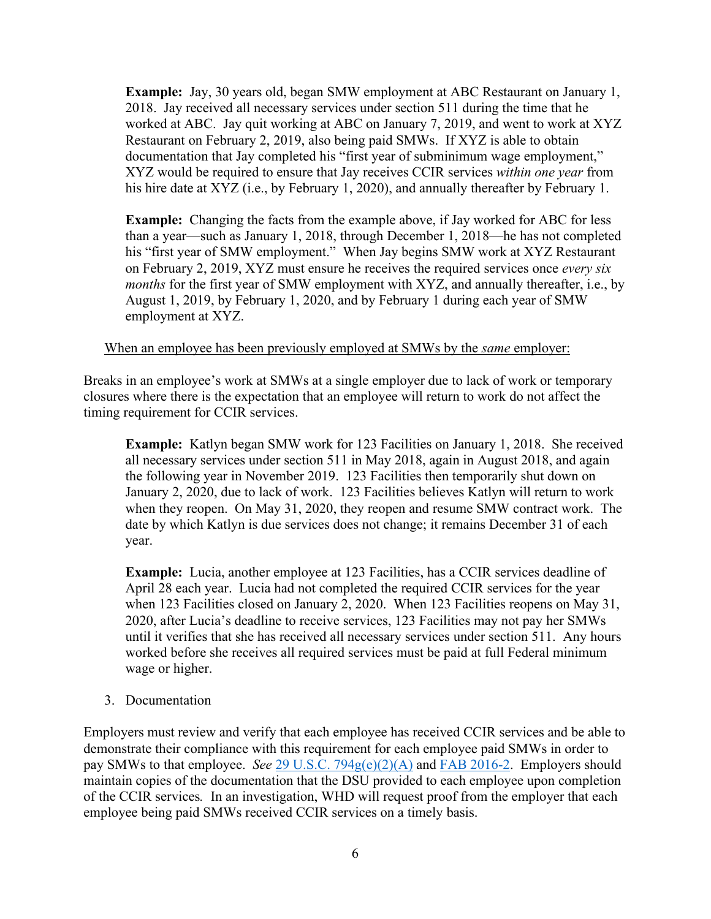**Example:** Jay, 30 years old, began SMW employment at ABC Restaurant on January 1, 2018. Jay received all necessary services under section 511 during the time that he worked at ABC. Jay quit working at ABC on January 7, 2019, and went to work at XYZ Restaurant on February 2, 2019, also being paid SMWs. If XYZ is able to obtain documentation that Jay completed his "first year of subminimum wage employment," XYZ would be required to ensure that Jay receives CCIR services *within one year* from his hire date at XYZ (i.e., by February 1, 2020), and annually thereafter by February 1.

**Example:** Changing the facts from the example above, if Jay worked for ABC for less than a year—such as January 1, 2018, through December 1, 2018—he has not completed his "first year of SMW employment." When Jay begins SMW work at XYZ Restaurant on February 2, 2019, XYZ must ensure he receives the required services once *every six months* for the first year of SMW employment with XYZ, and annually thereafter, i.e., by August 1, 2019, by February 1, 2020, and by February 1 during each year of SMW employment at XYZ.

#### When an employee has been previously employed at SMWs by the *same* employer:

Breaks in an employee's work at SMWs at a single employer due to lack of work or temporary closures where there is the expectation that an employee will return to work do not affect the timing requirement for CCIR services.

**Example:** Katlyn began SMW work for 123 Facilities on January 1, 2018. She received all necessary services under section 511 in May 2018, again in August 2018, and again the following year in November 2019. 123 Facilities then temporarily shut down on January 2, 2020, due to lack of work. 123 Facilities believes Katlyn will return to work when they reopen. On May 31, 2020, they reopen and resume SMW contract work. The date by which Katlyn is due services does not change; it remains December 31 of each year.

**Example:** Lucia, another employee at 123 Facilities, has a CCIR services deadline of April 28 each year. Lucia had not completed the required CCIR services for the year when 123 Facilities closed on January 2, 2020. When 123 Facilities reopens on May 31, 2020, after Lucia's deadline to receive services, 123 Facilities may not pay her SMWs until it verifies that she has received all necessary services under section 511. Any hours worked before she receives all required services must be paid at full Federal minimum wage or higher.

#### 3. Documentation

Employers must review and verify that each employee has received CCIR services and be able to demonstrate their compliance with this requirement for each employee paid SMWs in order to pay SMWs to that employee. *See* [29 U.S.C. 794g\(e\)\(2\)\(A\)](https://www.govinfo.gov/content/pkg/USCODE-2015-title29/html/USCODE-2015-title29-chap16-subchapV-sec794g.htm) and [FAB 2016-2.](https://www.dol.gov/sites/dolgov/files/WHD/legacy/files/fab2016_2.pdf) Employers should maintain copies of the documentation that the DSU provided to each employee upon completion of the CCIR services*.* In an investigation, WHD will request proof from the employer that each employee being paid SMWs received CCIR services on a timely basis.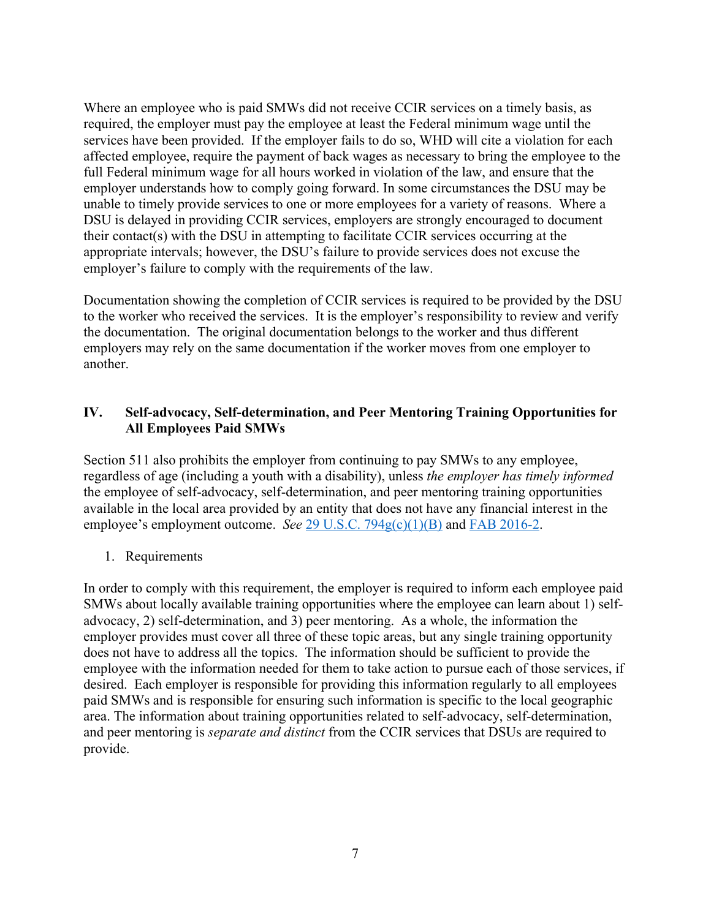Where an employee who is paid SMWs did not receive CCIR services on a timely basis, as required, the employer must pay the employee at least the Federal minimum wage until the services have been provided. If the employer fails to do so, WHD will cite a violation for each affected employee, require the payment of back wages as necessary to bring the employee to the full Federal minimum wage for all hours worked in violation of the law, and ensure that the employer understands how to comply going forward. In some circumstances the DSU may be unable to timely provide services to one or more employees for a variety of reasons. Where a DSU is delayed in providing CCIR services, employers are strongly encouraged to document their contact(s) with the DSU in attempting to facilitate CCIR services occurring at the appropriate intervals; however, the DSU's failure to provide services does not excuse the employer's failure to comply with the requirements of the law.

Documentation showing the completion of CCIR services is required to be provided by the DSU to the worker who received the services. It is the employer's responsibility to review and verify the documentation. The original documentation belongs to the worker and thus different employers may rely on the same documentation if the worker moves from one employer to another.

## **IV. Self-advocacy, Self-determination, and Peer Mentoring Training Opportunities for All Employees Paid SMWs**

Section 511 also prohibits the employer from continuing to pay SMWs to any employee, regardless of age (including a youth with a disability), unless *the employer has timely informed*  the employee of self-advocacy, self-determination, and peer mentoring training opportunities available in the local area provided by an entity that does not have any financial interest in the employee's employment outcome. *See* [29 U.S.C. 794g\(c\)\(1\)\(B\)](https://www.govinfo.gov/content/pkg/USCODE-2015-title29/html/USCODE-2015-title29-chap16-subchapV-sec794g.htm) and [FAB 2016-2.](https://www.dol.gov/sites/dolgov/files/WHD/legacy/files/fab2016_2.pdf)

### 1. Requirements

In order to comply with this requirement, the employer is required to inform each employee paid SMWs about locally available training opportunities where the employee can learn about 1) selfadvocacy, 2) self-determination, and 3) peer mentoring. As a whole, the information the employer provides must cover all three of these topic areas, but any single training opportunity does not have to address all the topics. The information should be sufficient to provide the employee with the information needed for them to take action to pursue each of those services, if desired. Each employer is responsible for providing this information regularly to all employees paid SMWs and is responsible for ensuring such information is specific to the local geographic area. The information about training opportunities related to self-advocacy, self-determination, and peer mentoring is *separate and distinct* from the CCIR services that DSUs are required to provide.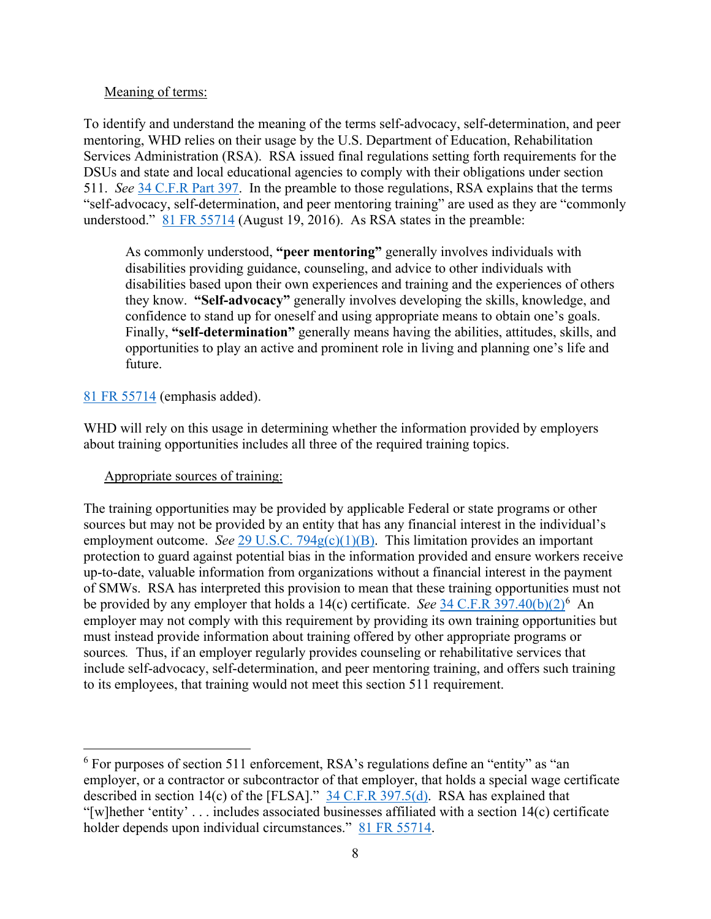### Meaning of terms:

To identify and understand the meaning of the terms self-advocacy, self-determination, and peer mentoring, WHD relies on their usage by the U.S. Department of Education, Rehabilitation Services Administration (RSA). RSA issued final regulations setting forth requirements for the DSUs and state and local educational agencies to comply with their obligations under section 511. *See* [34 C.F.R Part 397.](https://www.ecfr.gov/current/title-34/subtitle-B/chapter-III/part-397) In the preamble to those regulations, RSA explains that the terms "self-advocacy, self-determination, and peer mentoring training" are used as they are "commonly understood." [81 FR 55714](https://www.govinfo.gov/content/pkg/FR-2016-08-19/pdf/2016-15980.pdf#page=86) (August 19, 2016). As RSA states in the preamble:

As commonly understood, **"peer mentoring"** generally involves individuals with disabilities providing guidance, counseling, and advice to other individuals with disabilities based upon their own experiences and training and the experiences of others they know. **"Self-advocacy"** generally involves developing the skills, knowledge, and confidence to stand up for oneself and using appropriate means to obtain one's goals. Finally, **"self-determination"** generally means having the abilities, attitudes, skills, and opportunities to play an active and prominent role in living and planning one's life and future.

## [81 FR 55714](https://www.govinfo.gov/content/pkg/FR-2016-08-19/pdf/2016-15980.pdf#page=86) (emphasis added).

WHD will rely on this usage in determining whether the information provided by employers about training opportunities includes all three of the required training topics.

## Appropriate sources of training:

The training opportunities may be provided by applicable Federal or state programs or other sources but may not be provided by an entity that has any financial interest in the individual's employment outcome. *See* [29 U.S.C. 794g\(c\)\(1\)\(B\).](https://www.govinfo.gov/content/pkg/USCODE-2015-title29/html/USCODE-2015-title29-chap16-subchapV-sec794g.htm) This limitation provides an important protection to guard against potential bias in the information provided and ensure workers receive up-to-date, valuable information from organizations without a financial interest in the payment of SMWs. RSA has interpreted this provision to mean that these training opportunities must not be provided by any employer that holds a 14(c) certificate. *See* [34 C.F.R 397.40\(b\)\(2\)](https://www.ecfr.gov/current/title-34/subtitle-B/chapter-III/part-397#p-397.40(b)(2))<sup>[6](#page-7-0)</sup> An employer may not comply with this requirement by providing its own training opportunities but must instead provide information about training offered by other appropriate programs or sources*.* Thus, if an employer regularly provides counseling or rehabilitative services that include self-advocacy, self-determination, and peer mentoring training, and offers such training to its employees, that training would not meet this section 511 requirement.

<span id="page-7-0"></span><sup>&</sup>lt;sup>6</sup> For purposes of section 511 enforcement, RSA's regulations define an "entity" as "an employer, or a contractor or subcontractor of that employer, that holds a special wage certificate described in section 14(c) of the [FLSA]." [34 C.F.R 397.5\(d\).](https://www.ecfr.gov/current/title-34/subtitle-B/chapter-III/part-397#p-397.5(d)) RSA has explained that "[w]hether 'entity' . . . includes associated businesses affiliated with a section 14(c) certificate holder depends upon individual circumstances." [81 FR 55714.](https://www.govinfo.gov/content/pkg/FR-2016-08-19/pdf/2016-15980.pdf#page=86)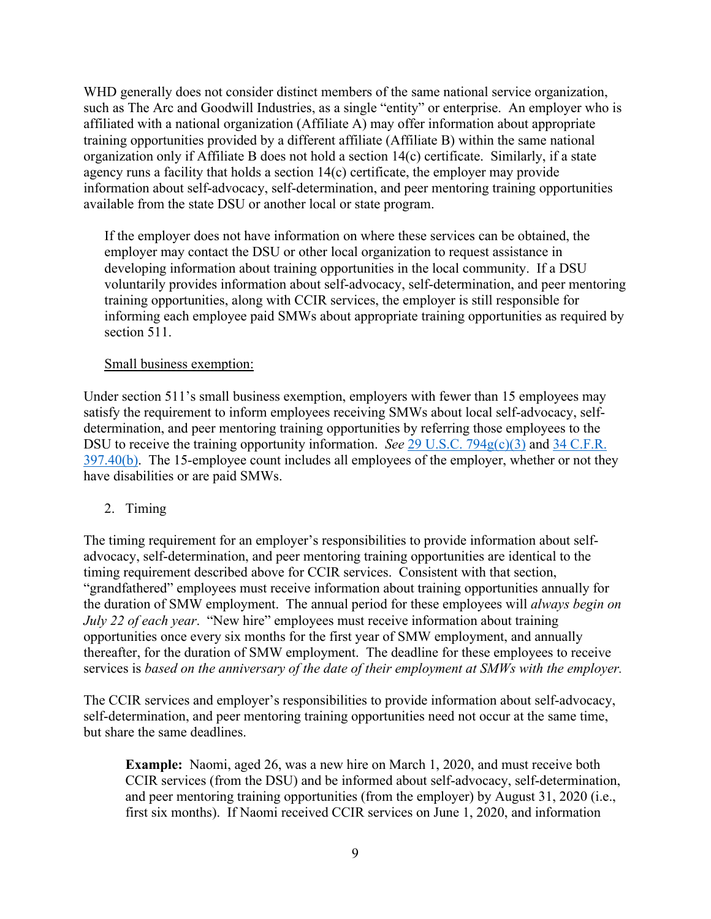WHD generally does not consider distinct members of the same national service organization, such as The Arc and Goodwill Industries, as a single "entity" or enterprise. An employer who is affiliated with a national organization (Affiliate A) may offer information about appropriate training opportunities provided by a different affiliate (Affiliate B) within the same national organization only if Affiliate B does not hold a section 14(c) certificate. Similarly, if a state agency runs a facility that holds a section 14(c) certificate, the employer may provide information about self-advocacy, self-determination, and peer mentoring training opportunities available from the state DSU or another local or state program.

If the employer does not have information on where these services can be obtained, the employer may contact the DSU or other local organization to request assistance in developing information about training opportunities in the local community. If a DSU voluntarily provides information about self-advocacy, self-determination, and peer mentoring training opportunities, along with CCIR services, the employer is still responsible for informing each employee paid SMWs about appropriate training opportunities as required by section 511.

### Small business exemption:

Under section 511's small business exemption, employers with fewer than 15 employees may satisfy the requirement to inform employees receiving SMWs about local self-advocacy, selfdetermination, and peer mentoring training opportunities by referring those employees to the DSU to receive the training opportunity information. *See 29 U.S.C.* 794g(c)(3) and 34 C.F.R. [397.40\(b\).](https://www.ecfr.gov/current/title-34/subtitle-B/chapter-III/part-397#p-397.40(b)) The 15-employee count includes all employees of the employer, whether or not they have disabilities or are paid SMWs.

## 2. Timing

The timing requirement for an employer's responsibilities to provide information about selfadvocacy, self-determination, and peer mentoring training opportunities are identical to the timing requirement described above for CCIR services. Consistent with that section, "grandfathered" employees must receive information about training opportunities annually for the duration of SMW employment. The annual period for these employees will *always begin on July 22 of each year*. "New hire" employees must receive information about training opportunities once every six months for the first year of SMW employment, and annually thereafter, for the duration of SMW employment. The deadline for these employees to receive services is *based on the anniversary of the date of their employment at SMWs with the employer.*

The CCIR services and employer's responsibilities to provide information about self-advocacy, self-determination, and peer mentoring training opportunities need not occur at the same time, but share the same deadlines.

**Example:** Naomi, aged 26, was a new hire on March 1, 2020, and must receive both CCIR services (from the DSU) and be informed about self-advocacy, self-determination, and peer mentoring training opportunities (from the employer) by August 31, 2020 (i.e., first six months). If Naomi received CCIR services on June 1, 2020, and information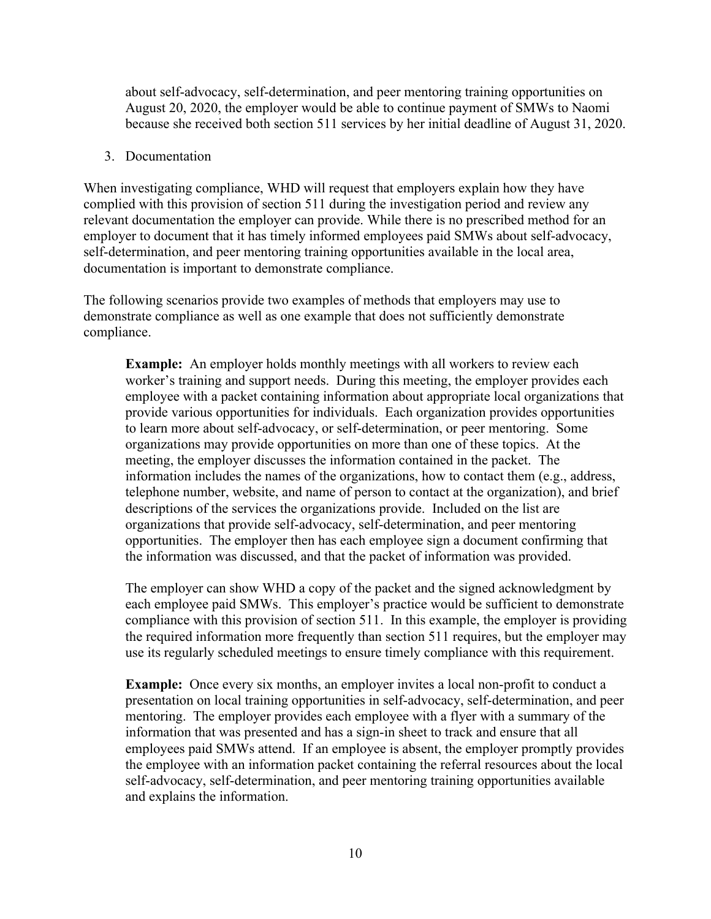about self-advocacy, self-determination, and peer mentoring training opportunities on August 20, 2020, the employer would be able to continue payment of SMWs to Naomi because she received both section 511 services by her initial deadline of August 31, 2020.

#### 3. Documentation

When investigating compliance, WHD will request that employers explain how they have complied with this provision of section 511 during the investigation period and review any relevant documentation the employer can provide. While there is no prescribed method for an employer to document that it has timely informed employees paid SMWs about self-advocacy, self-determination, and peer mentoring training opportunities available in the local area, documentation is important to demonstrate compliance.

The following scenarios provide two examples of methods that employers may use to demonstrate compliance as well as one example that does not sufficiently demonstrate compliance.

**Example:** An employer holds monthly meetings with all workers to review each worker's training and support needs. During this meeting, the employer provides each employee with a packet containing information about appropriate local organizations that provide various opportunities for individuals. Each organization provides opportunities to learn more about self-advocacy, or self-determination, or peer mentoring. Some organizations may provide opportunities on more than one of these topics. At the meeting, the employer discusses the information contained in the packet. The information includes the names of the organizations, how to contact them (e.g., address, telephone number, website, and name of person to contact at the organization), and brief descriptions of the services the organizations provide. Included on the list are organizations that provide self-advocacy, self-determination, and peer mentoring opportunities. The employer then has each employee sign a document confirming that the information was discussed, and that the packet of information was provided.

The employer can show WHD a copy of the packet and the signed acknowledgment by each employee paid SMWs. This employer's practice would be sufficient to demonstrate compliance with this provision of section 511. In this example, the employer is providing the required information more frequently than section 511 requires, but the employer may use its regularly scheduled meetings to ensure timely compliance with this requirement.

**Example:** Once every six months, an employer invites a local non-profit to conduct a presentation on local training opportunities in self-advocacy, self-determination, and peer mentoring. The employer provides each employee with a flyer with a summary of the information that was presented and has a sign-in sheet to track and ensure that all employees paid SMWs attend. If an employee is absent, the employer promptly provides the employee with an information packet containing the referral resources about the local self-advocacy, self-determination, and peer mentoring training opportunities available and explains the information.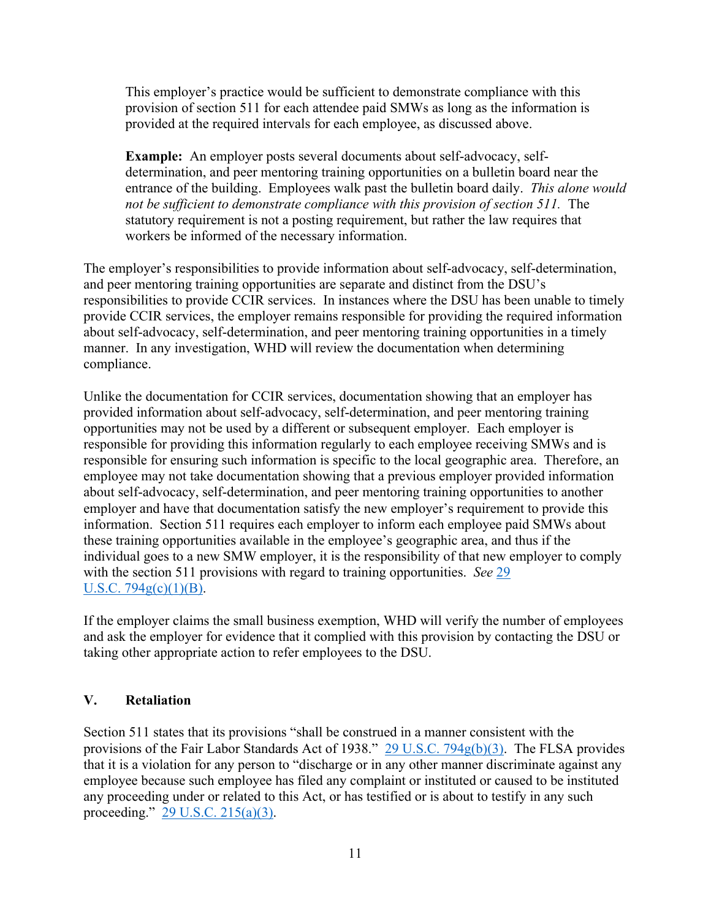This employer's practice would be sufficient to demonstrate compliance with this provision of section 511 for each attendee paid SMWs as long as the information is provided at the required intervals for each employee, as discussed above.

**Example:** An employer posts several documents about self-advocacy, selfdetermination, and peer mentoring training opportunities on a bulletin board near the entrance of the building. Employees walk past the bulletin board daily. *This alone would not be sufficient to demonstrate compliance with this provision of section 511.* The statutory requirement is not a posting requirement, but rather the law requires that workers be informed of the necessary information.

The employer's responsibilities to provide information about self-advocacy, self-determination, and peer mentoring training opportunities are separate and distinct from the DSU's responsibilities to provide CCIR services. In instances where the DSU has been unable to timely provide CCIR services, the employer remains responsible for providing the required information about self-advocacy, self-determination, and peer mentoring training opportunities in a timely manner. In any investigation, WHD will review the documentation when determining compliance.

Unlike the documentation for CCIR services, documentation showing that an employer has provided information about self-advocacy, self-determination, and peer mentoring training opportunities may not be used by a different or subsequent employer. Each employer is responsible for providing this information regularly to each employee receiving SMWs and is responsible for ensuring such information is specific to the local geographic area. Therefore, an employee may not take documentation showing that a previous employer provided information about self-advocacy, self-determination, and peer mentoring training opportunities to another employer and have that documentation satisfy the new employer's requirement to provide this information. Section 511 requires each employer to inform each employee paid SMWs about these training opportunities available in the employee's geographic area, and thus if the individual goes to a new SMW employer, it is the responsibility of that new employer to comply with the section 511 provisions with regard to training opportunities. *See* [29](https://www.govinfo.gov/content/pkg/USCODE-2015-title29/html/USCODE-2015-title29-chap16-subchapV-sec794g.htm)  U.S.C.  $794g(c)(1)(B)$ .

If the employer claims the small business exemption, WHD will verify the number of employees and ask the employer for evidence that it complied with this provision by contacting the DSU or taking other appropriate action to refer employees to the DSU.

## **V. Retaliation**

Section 511 states that its provisions "shall be construed in a manner consistent with the provisions of the Fair Labor Standards Act of 1938." [29 U.S.C. 794g\(b\)\(3\).](https://www.govinfo.gov/content/pkg/USCODE-2015-title29/html/USCODE-2015-title29-chap16-subchapV-sec794g.htm) The FLSA provides that it is a violation for any person to "discharge or in any other manner discriminate against any employee because such employee has filed any complaint or instituted or caused to be instituted any proceeding under or related to this Act, or has testified or is about to testify in any such proceeding." [29 U.S.C. 215\(a\)\(3\).](https://www.govinfo.gov/content/pkg/USCODE-2011-title29/html/USCODE-2011-title29-chap8-sec215.htm)